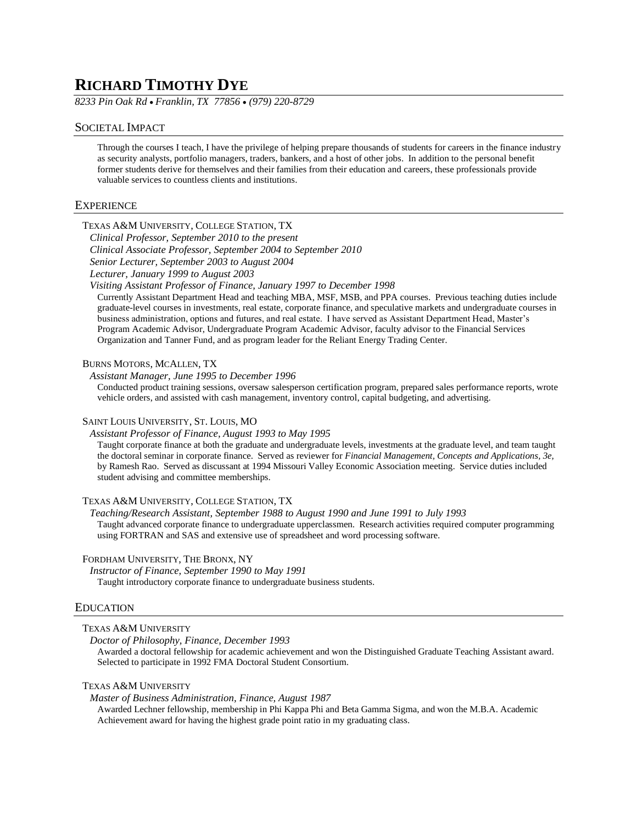# **RICHARD TIMOTHY DYE**

*8233 Pin Oak Rd* • *Franklin, TX 77856* • *(979) 220-8729*

# SOCIETAL IMPACT

Through the courses I teach, I have the privilege of helping prepare thousands of students for careers in the finance industry as security analysts, portfolio managers, traders, bankers, and a host of other jobs. In addition to the personal benefit former students derive for themselves and their families from their education and careers, these professionals provide valuable services to countless clients and institutions.

# **EXPERIENCE**

# TEXAS A&M UNIVERSITY, COLLEGE STATION, TX

*Clinical Professor, September 2010 to the present Clinical Associate Professor, September 2004 to September 2010 Senior Lecturer, September 2003 to August 2004 Lecturer, January 1999 to August 2003*

*Visiting Assistant Professor of Finance, January 1997 to December 1998*

Currently Assistant Department Head and teaching MBA, MSF, MSB, and PPA courses. Previous teaching duties include graduate-level courses in investments, real estate, corporate finance, and speculative markets and undergraduate courses in business administration, options and futures, and real estate. I have served as Assistant Department Head, Master's Program Academic Advisor, Undergraduate Program Academic Advisor, faculty advisor to the Financial Services Organization and Tanner Fund, and as program leader for the Reliant Energy Trading Center.

#### BURNS MOTORS, MCALLEN, TX

*Assistant Manager, June 1995 to December 1996*

Conducted product training sessions, oversaw salesperson certification program, prepared sales performance reports, wrote vehicle orders, and assisted with cash management, inventory control, capital budgeting, and advertising.

#### SAINT LOUIS UNIVERSITY, ST. LOUIS, MO

*Assistant Professor of Finance, August 1993 to May 1995*

Taught corporate finance at both the graduate and undergraduate levels, investments at the graduate level, and team taught the doctoral seminar in corporate finance. Served as reviewer for *Financial Management, Concepts and Applications, 3e,* by Ramesh Rao. Served as discussant at 1994 Missouri Valley Economic Association meeting. Service duties included student advising and committee memberships.

#### TEXAS A&M UNIVERSITY, COLLEGE STATION, TX

*Teaching/Research Assistant, September 1988 to August 1990 and June 1991 to July 1993* Taught advanced corporate finance to undergraduate upperclassmen. Research activities required computer programming using FORTRAN and SAS and extensive use of spreadsheet and word processing software.

# FORDHAM UNIVERSITY, THE BRONX, NY

*Instructor of Finance, September 1990 to May 1991* Taught introductory corporate finance to undergraduate business students.

#### EDUCATION

# TEXAS A&M UNIVERSITY

*Doctor of Philosophy, Finance, December 1993*

Awarded a doctoral fellowship for academic achievement and won the Distinguished Graduate Teaching Assistant award. Selected to participate in 1992 FMA Doctoral Student Consortium.

# TEXAS A&M UNIVERSITY

*Master of Business Administration, Finance, August 1987*

Awarded Lechner fellowship, membership in Phi Kappa Phi and Beta Gamma Sigma, and won the M.B.A. Academic Achievement award for having the highest grade point ratio in my graduating class.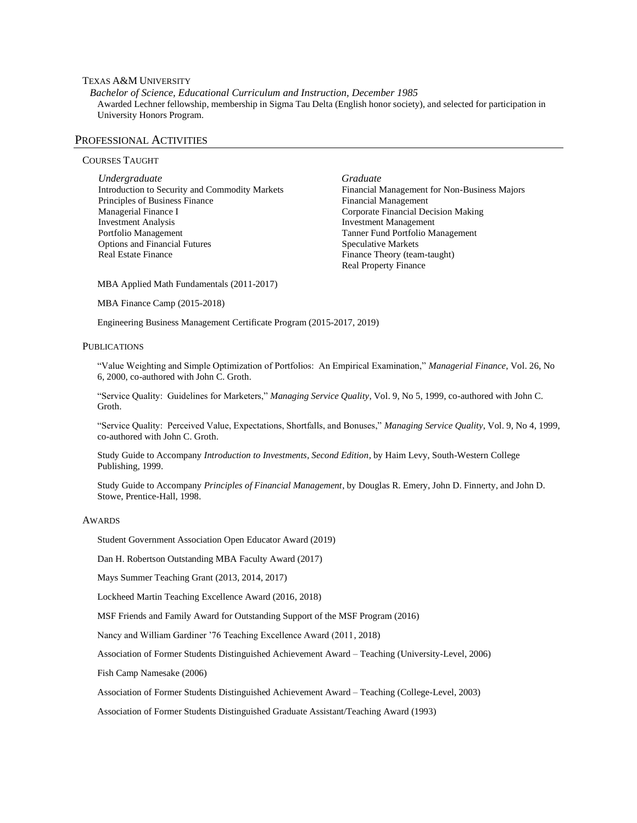# TEXAS A&M UNIVERSITY

*Bachelor of Science, Educational Curriculum and Instruction, December 1985* Awarded Lechner fellowship, membership in Sigma Tau Delta (English honor society), and selected for participation in University Honors Program.

#### PROFESSIONAL ACTIVITIES

# COURSES TAUGHT

*Undergraduate* Introduction to Security and Commodity Markets Principles of Business Finance Managerial Finance I Investment Analysis Portfolio Management Options and Financial Futures Real Estate Finance

*Graduate* Financial Management for Non-Business Majors Financial Management Corporate Financial Decision Making Investment Management Tanner Fund Portfolio Management Speculative Markets Finance Theory (team-taught) Real Property Finance

MBA Applied Math Fundamentals (2011-2017)

MBA Finance Camp (2015-2018)

Engineering Business Management Certificate Program (2015-2017, 2019)

#### PUBLICATIONS

"Value Weighting and Simple Optimization of Portfolios: An Empirical Examination," *Managerial Finance*, Vol. 26, No 6, 2000, co-authored with John C. Groth.

"Service Quality: Guidelines for Marketers," *Managing Service Quality*, Vol. 9, No 5, 1999, co-authored with John C. Groth.

"Service Quality: Perceived Value, Expectations, Shortfalls, and Bonuses," *Managing Service Quality*, Vol. 9, No 4, 1999, co-authored with John C. Groth.

Study Guide to Accompany *Introduction to Investments, Second Edition*, by Haim Levy, South-Western College Publishing, 1999.

Study Guide to Accompany *Principles of Financial Management*, by Douglas R. Emery, John D. Finnerty, and John D. Stowe, Prentice-Hall, 1998.

#### AWARDS

Student Government Association Open Educator Award (2019)

Dan H. Robertson Outstanding MBA Faculty Award (2017)

Mays Summer Teaching Grant (2013, 2014, 2017)

Lockheed Martin Teaching Excellence Award (2016, 2018)

MSF Friends and Family Award for Outstanding Support of the MSF Program (2016)

Nancy and William Gardiner '76 Teaching Excellence Award (2011, 2018)

Association of Former Students Distinguished Achievement Award – Teaching (University-Level, 2006)

Fish Camp Namesake (2006)

Association of Former Students Distinguished Achievement Award – Teaching (College-Level, 2003)

Association of Former Students Distinguished Graduate Assistant/Teaching Award (1993)